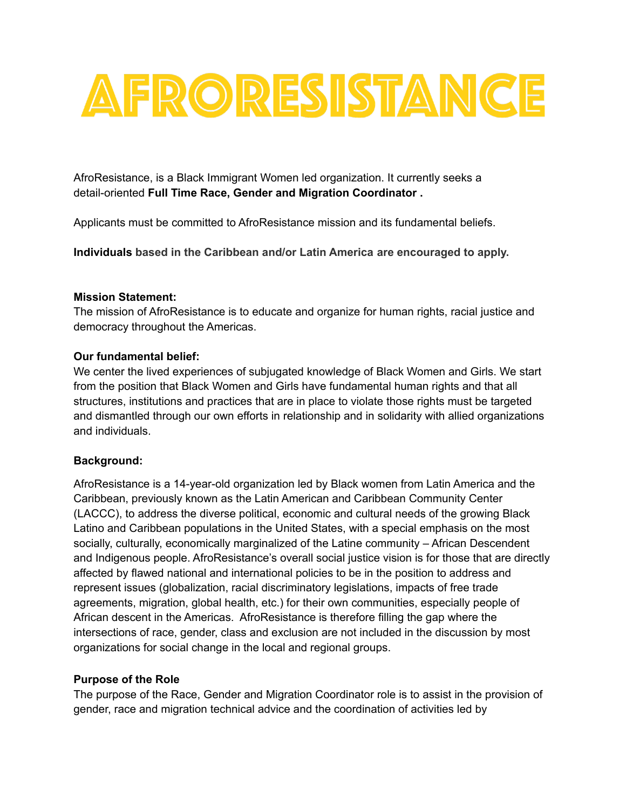

AfroResistance, is a Black Immigrant Women led organization. It currently seeks a detail-oriented **Full Time Race, Gender and Migration Coordinator .**

Applicants must be committed to AfroResistance mission and its fundamental beliefs.

**Individuals based in the Caribbean and/or Latin America are encouraged to apply.**

#### **Mission Statement:**

The mission of AfroResistance is to educate and organize for human rights, racial justice and democracy throughout the Americas.

#### **Our fundamental belief:**

We center the lived experiences of subjugated knowledge of Black Women and Girls. We start from the position that Black Women and Girls have fundamental human rights and that all structures, institutions and practices that are in place to violate those rights must be targeted and dismantled through our own efforts in relationship and in solidarity with allied organizations and individuals.

## **Background:**

AfroResistance is a 14-year-old organization led by Black women from Latin America and the Caribbean, previously known as the Latin American and Caribbean Community Center (LACCC), to address the diverse political, economic and cultural needs of the growing Black Latino and Caribbean populations in the United States, with a special emphasis on the most socially, culturally, economically marginalized of the Latine community – African Descendent and Indigenous people. AfroResistance's overall social justice vision is for those that are directly affected by flawed national and international policies to be in the position to address and represent issues (globalization, racial discriminatory legislations, impacts of free trade agreements, migration, global health, etc.) for their own communities, especially people of African descent in the Americas. AfroResistance is therefore filling the gap where the intersections of race, gender, class and exclusion are not included in the discussion by most organizations for social change in the local and regional groups.

## **Purpose of the Role**

The purpose of the Race, Gender and Migration Coordinator role is to assist in the provision of gender, race and migration technical advice and the coordination of activities led by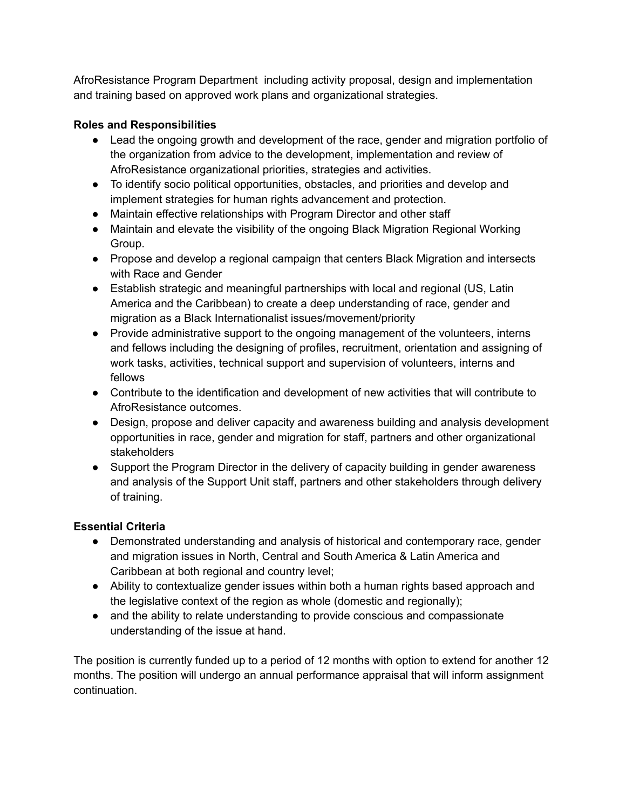AfroResistance Program Department including activity proposal, design and implementation and training based on approved work plans and organizational strategies.

## **Roles and Responsibilities**

- Lead the ongoing growth and development of the race, gender and migration portfolio of the organization from advice to the development, implementation and review of AfroResistance organizational priorities, strategies and activities.
- To identify socio political opportunities, obstacles, and priorities and develop and implement strategies for human rights advancement and protection.
- Maintain effective relationships with Program Director and other staff
- Maintain and elevate the visibility of the ongoing Black Migration Regional Working Group.
- Propose and develop a regional campaign that centers Black Migration and intersects with Race and Gender
- Establish strategic and meaningful partnerships with local and regional (US, Latin America and the Caribbean) to create a deep understanding of race, gender and migration as a Black Internationalist issues/movement/priority
- Provide administrative support to the ongoing management of the volunteers, interns and fellows including the designing of profiles, recruitment, orientation and assigning of work tasks, activities, technical support and supervision of volunteers, interns and fellows
- Contribute to the identification and development of new activities that will contribute to AfroResistance outcomes.
- Design, propose and deliver capacity and awareness building and analysis development opportunities in race, gender and migration for staff, partners and other organizational stakeholders
- Support the Program Director in the delivery of capacity building in gender awareness and analysis of the Support Unit staff, partners and other stakeholders through delivery of training.

# **Essential Criteria**

- Demonstrated understanding and analysis of historical and contemporary race, gender and migration issues in North, Central and South America & Latin America and Caribbean at both regional and country level;
- Ability to contextualize gender issues within both a human rights based approach and the legislative context of the region as whole (domestic and regionally);
- and the ability to relate understanding to provide conscious and compassionate understanding of the issue at hand.

The position is currently funded up to a period of 12 months with option to extend for another 12 months. The position will undergo an annual performance appraisal that will inform assignment continuation.